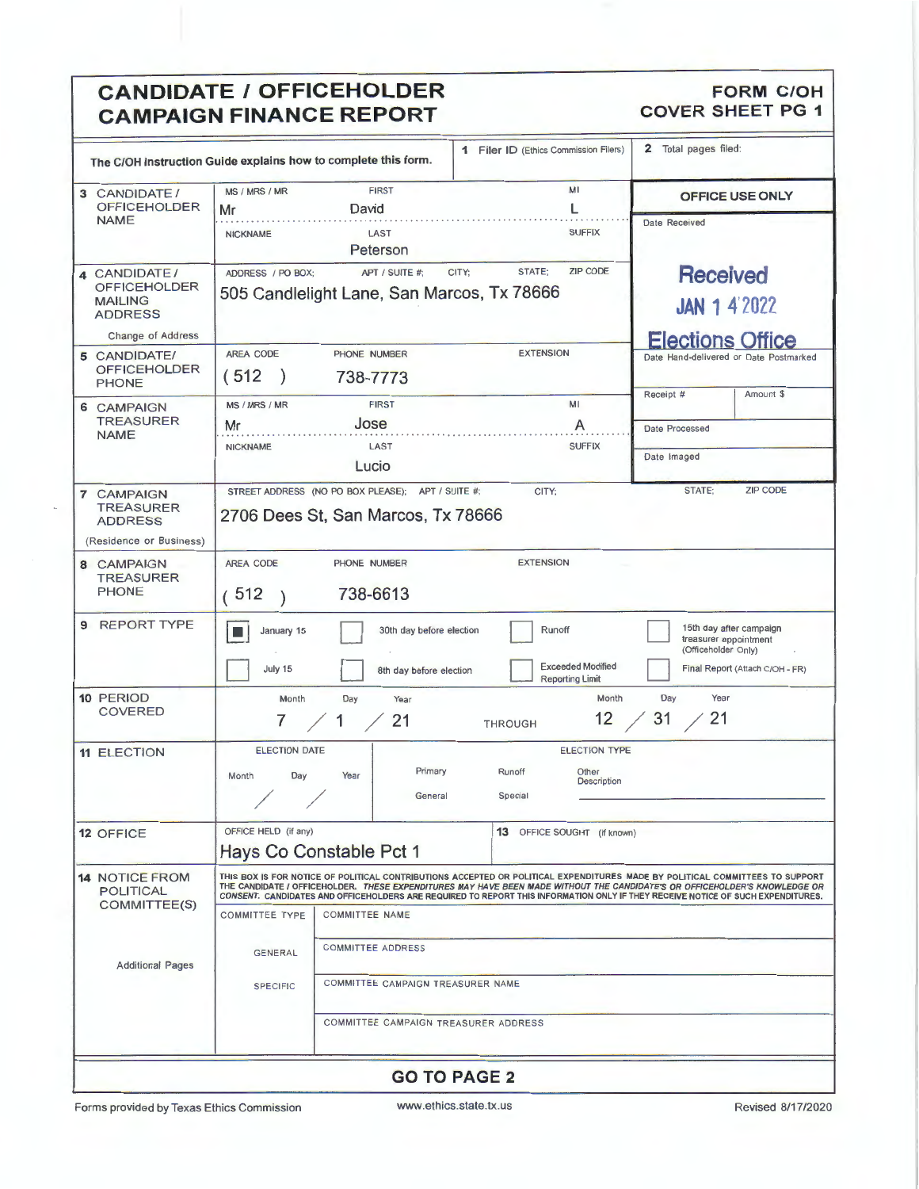# **CANDIDATE / OFFICEHOLDER** FORM COH **FORM COH**<br> **CAMPAIGN FINANCE REPORT** COVER SHEET PG 1 **CAMPAIGN FINANCE REPORT**

| The C/OH Instruction Guide explains how to complete this form.                     |                                                                                                                         |                                                                                         | 1 Filer ID (Ethics Commission Filers)                             | 2 Total pages filed:                                                                                                                                                                                                                                                                                                                                                                          |  |  |
|------------------------------------------------------------------------------------|-------------------------------------------------------------------------------------------------------------------------|-----------------------------------------------------------------------------------------|-------------------------------------------------------------------|-----------------------------------------------------------------------------------------------------------------------------------------------------------------------------------------------------------------------------------------------------------------------------------------------------------------------------------------------------------------------------------------------|--|--|
| 3 CANDIDATE /<br><b>OFFICEHOLDER</b>                                               | MS / MRS / MR<br>Mr                                                                                                     | <b>FIRST</b><br>David                                                                   | MI<br>L                                                           | OFFICE USE ONLY                                                                                                                                                                                                                                                                                                                                                                               |  |  |
| <b>NAME</b>                                                                        | <b>NICKNAME</b>                                                                                                         | LAST<br>Peterson                                                                        | <b>SUFFIX</b>                                                     | Date Received                                                                                                                                                                                                                                                                                                                                                                                 |  |  |
| 4 CANDIDATE/<br>OFFICEHOLDER<br><b>MAILING</b><br><b>ADDRESS</b>                   | STATE:<br><b>ZIP CODE</b><br>APT / SUITE #:<br>CITY:<br>ADDRESS / PO BOX:<br>505 Candlelight Lane, San Marcos, Tx 78666 |                                                                                         |                                                                   | <b>Received</b><br><b>JAN 1 4 2022</b>                                                                                                                                                                                                                                                                                                                                                        |  |  |
| Change of Address                                                                  |                                                                                                                         |                                                                                         |                                                                   | <b>Elections Office</b>                                                                                                                                                                                                                                                                                                                                                                       |  |  |
| 5 CANDIDATE/<br><b>OFFICEHOLDER</b><br><b>PHONE</b>                                | AREA CODE<br>(512)                                                                                                      | PHONE NUMBER<br>738-7773                                                                | <b>EXTENSION</b>                                                  | Date Hand-delivered or Date Postmarked<br>Amount \$<br>Receipt #                                                                                                                                                                                                                                                                                                                              |  |  |
| 6 CAMPAIGN                                                                         | MS / MRS / MR                                                                                                           | <b>FIRST</b>                                                                            | MI                                                                |                                                                                                                                                                                                                                                                                                                                                                                               |  |  |
| <b>TREASURER</b><br><b>NAME</b>                                                    | Mr                                                                                                                      | Jose                                                                                    | A                                                                 | Date Processed                                                                                                                                                                                                                                                                                                                                                                                |  |  |
|                                                                                    | <b>NICKNAME</b>                                                                                                         | LAST                                                                                    | <b>SUFFIX</b>                                                     | Date Imaged                                                                                                                                                                                                                                                                                                                                                                                   |  |  |
|                                                                                    |                                                                                                                         | Lucio                                                                                   |                                                                   |                                                                                                                                                                                                                                                                                                                                                                                               |  |  |
| <b>7 CAMPAIGN</b><br><b>TREASURER</b><br><b>ADDRESS</b><br>(Residence or Business) |                                                                                                                         | STREET ADDRESS (NO PO BOX PLEASE); APT / SUITE #;<br>2706 Dees St, San Marcos, Tx 78666 | CITY:                                                             | <b>ZIP CODE</b><br>STATE:                                                                                                                                                                                                                                                                                                                                                                     |  |  |
| 8 CAMPAIGN<br><b>TREASURER</b><br><b>PHONE</b>                                     | AREA CODE<br>(512)                                                                                                      | PHONE NUMBER<br>738-6613                                                                | <b>EXTENSION</b>                                                  |                                                                                                                                                                                                                                                                                                                                                                                               |  |  |
| 9 REPORT TYPE                                                                      | January 15<br>■<br>July 15                                                                                              | 30th day before election<br>8th day before election                                     | Runoff<br><b>Exceeded Modified</b>                                | 15th day after campaign<br>treasurer appointment<br>(Officeholder Only)<br>Final Report (Attach C/OH - FR)                                                                                                                                                                                                                                                                                    |  |  |
| 10 PERIOD                                                                          | Month                                                                                                                   | Day<br>Year                                                                             | <b>Reporting Limit</b><br>Month                                   | Day<br>Year                                                                                                                                                                                                                                                                                                                                                                                   |  |  |
| <b>COVERED</b>                                                                     | 7                                                                                                                       | 21<br>1                                                                                 | $12 \,$<br><b>THROUGH</b>                                         | 31<br>21                                                                                                                                                                                                                                                                                                                                                                                      |  |  |
| <b>11 ELECTION</b>                                                                 | <b>ELECTION DATE</b><br>Day<br>Month                                                                                    | Primary<br>Year<br>General                                                              | <b>ELECTION TYPE</b><br>Runoff<br>Other<br>Description<br>Special |                                                                                                                                                                                                                                                                                                                                                                                               |  |  |
| 12 OFFICE                                                                          | OFFICE HELD (if any)                                                                                                    | Hays Co Constable Pct 1                                                                 | 13 OFFICE SOUGHT (if known)                                       |                                                                                                                                                                                                                                                                                                                                                                                               |  |  |
| <b>14 NOTICE FROM</b><br><b>POLITICAL</b><br>COMMITTEE(S)                          |                                                                                                                         |                                                                                         |                                                                   | THIS BOX IS FOR NOTICE OF POLITICAL CONTRIBUTIONS ACCEPTED OR POLITICAL EXPENDITURES MADE BY POLITICAL COMMITTEES TO SUPPORT<br>THE CANDIDATE I OFFICEHOLDER. THESE EXPENDITURES MAY HAVE BEEN MADE WITHOUT THE CANDIDATE'S OR OFFICEHOLDER'S KNOWLEDGE OR<br>CONSENT, CANDIDATES AND OFFICEHOLDERS ARE REQUIRED TO REPORT THIS INFORMATION ONLY IF THEY RECEIVE NOTICE OF SUCH EXPENDITURES. |  |  |
|                                                                                    | <b>COMMITTEE TYPE</b>                                                                                                   | <b>COMMITTEE NAME</b>                                                                   |                                                                   |                                                                                                                                                                                                                                                                                                                                                                                               |  |  |
| <b>Additional Pages</b>                                                            | <b>COMMITTEE ADDRESS</b><br><b>GENERAL</b>                                                                              |                                                                                         |                                                                   |                                                                                                                                                                                                                                                                                                                                                                                               |  |  |
|                                                                                    | COMMITTEE CAMPAIGN TREASURER NAME<br><b>SPECIFIC</b>                                                                    |                                                                                         |                                                                   |                                                                                                                                                                                                                                                                                                                                                                                               |  |  |
|                                                                                    |                                                                                                                         | COMMITTEE CAMPAIGN TREASURER ADDRESS                                                    |                                                                   |                                                                                                                                                                                                                                                                                                                                                                                               |  |  |
|                                                                                    |                                                                                                                         |                                                                                         | <b>GO TO PAGE 2</b>                                               |                                                                                                                                                                                                                                                                                                                                                                                               |  |  |

Forms provided by Texas Ethics Commission www.ethics.state.tx.us Revised 8/17/2020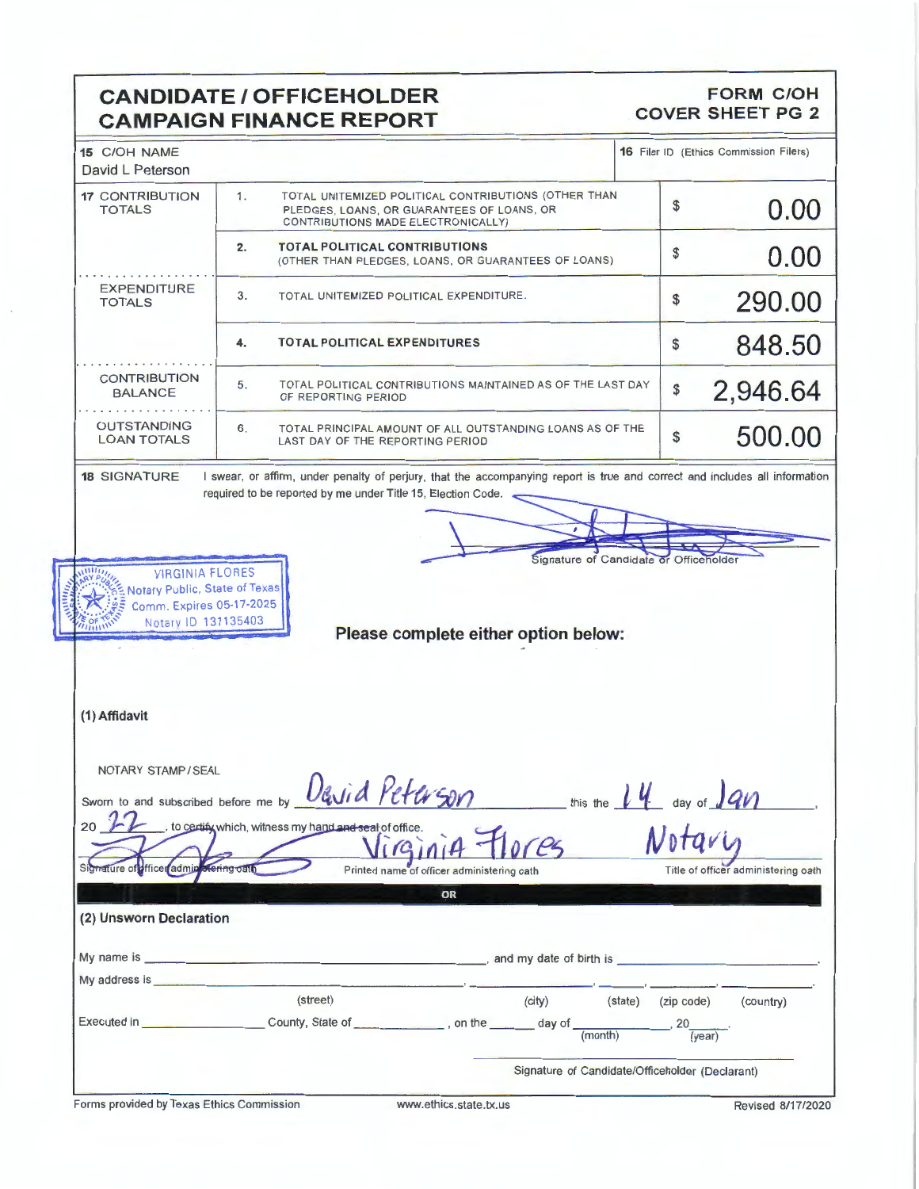# **CANDIDATE/ OFFICEHOLDER CAMPAIGN FINANCE REPORT**

### **FORM C/OH COVER SHEET PG 2**

| <b>17 CONTRIBUTION</b><br><b>TOTALS</b>                                                                                                                                                                                                                  |                                                                                                                                                |     | <b>16 Filer ID (Ethics Commission Filers)</b> |  |  |
|----------------------------------------------------------------------------------------------------------------------------------------------------------------------------------------------------------------------------------------------------------|------------------------------------------------------------------------------------------------------------------------------------------------|-----|-----------------------------------------------|--|--|
|                                                                                                                                                                                                                                                          | 1.<br>TOTAL UNITEMIZED POLITICAL CONTRIBUTIONS (OTHER THAN<br>PLEDGES, LOANS, OR GUARANTEES OF LOANS, OR<br>CONTRIBUTIONS MADE ELECTRONICALLY) | \$  | 0.00                                          |  |  |
|                                                                                                                                                                                                                                                          | <b>TOTAL POLITICAL CONTRIBUTIONS</b><br>2.<br>(OTHER THAN PLEDGES, LOANS, OR GUARANTEES OF LOANS)                                              | \$  | 0.00                                          |  |  |
| <b>EXPENDITURE</b><br><b>TOTALS</b>                                                                                                                                                                                                                      | 3.<br>TOTAL UNITEMIZED POLITICAL EXPENDITURE.                                                                                                  | \$  | 290.00                                        |  |  |
|                                                                                                                                                                                                                                                          | <b>TOTAL POLITICAL EXPENDITURES</b><br>4.                                                                                                      | \$  | 848.50                                        |  |  |
| <b>CONTRIBUTION</b><br><b>BALANCE</b>                                                                                                                                                                                                                    | 5.<br>TOTAL POLITICAL CONTRIBUTIONS MAINTAINED AS OF THE LAST DAY<br>OF REPORTING PERIOD                                                       | \$  | 2,946.64                                      |  |  |
| <b>OUTSTANDING</b><br><b>LOAN TOTALS</b>                                                                                                                                                                                                                 | 6.<br>TOTAL PRINCIPAL AMOUNT OF ALL OUTSTANDING LOANS AS OF THE<br>LAST DAY OF THE REPORTING PERIOD                                            | \$  | 500.00                                        |  |  |
| Notary ID 131135403                                                                                                                                                                                                                                      | Please complete either option below:                                                                                                           |     |                                               |  |  |
|                                                                                                                                                                                                                                                          |                                                                                                                                                |     |                                               |  |  |
|                                                                                                                                                                                                                                                          |                                                                                                                                                |     |                                               |  |  |
| (1) Affidavit<br>NOTARY STAMP/SEAL<br>20                                                                                                                                                                                                                 | Sworn to and subscribed before me by David Peturson<br>, to certify which, witness my hand and seal of office.                                 | 1 U | - this the $14$ day of $190$                  |  |  |
| Signature of officer admin                                                                                                                                                                                                                               | 1G1114<br>ting oall<br>Printed name of officer administering oath                                                                              |     | Title of officer administering oath           |  |  |
|                                                                                                                                                                                                                                                          | OR                                                                                                                                             |     |                                               |  |  |
| (2) Unsworn Declaration<br>My address is the contract of the contract of the contract of the contract of the contract of the contract of the contract of the contract of the contract of the contract of the contract of the contract of the contract of |                                                                                                                                                |     |                                               |  |  |

Signature of Candidate/Officeholder (Declarant)

Forms provided by Texas Ethics Commission www.ethics.state.tx.us Revised 8/17/2020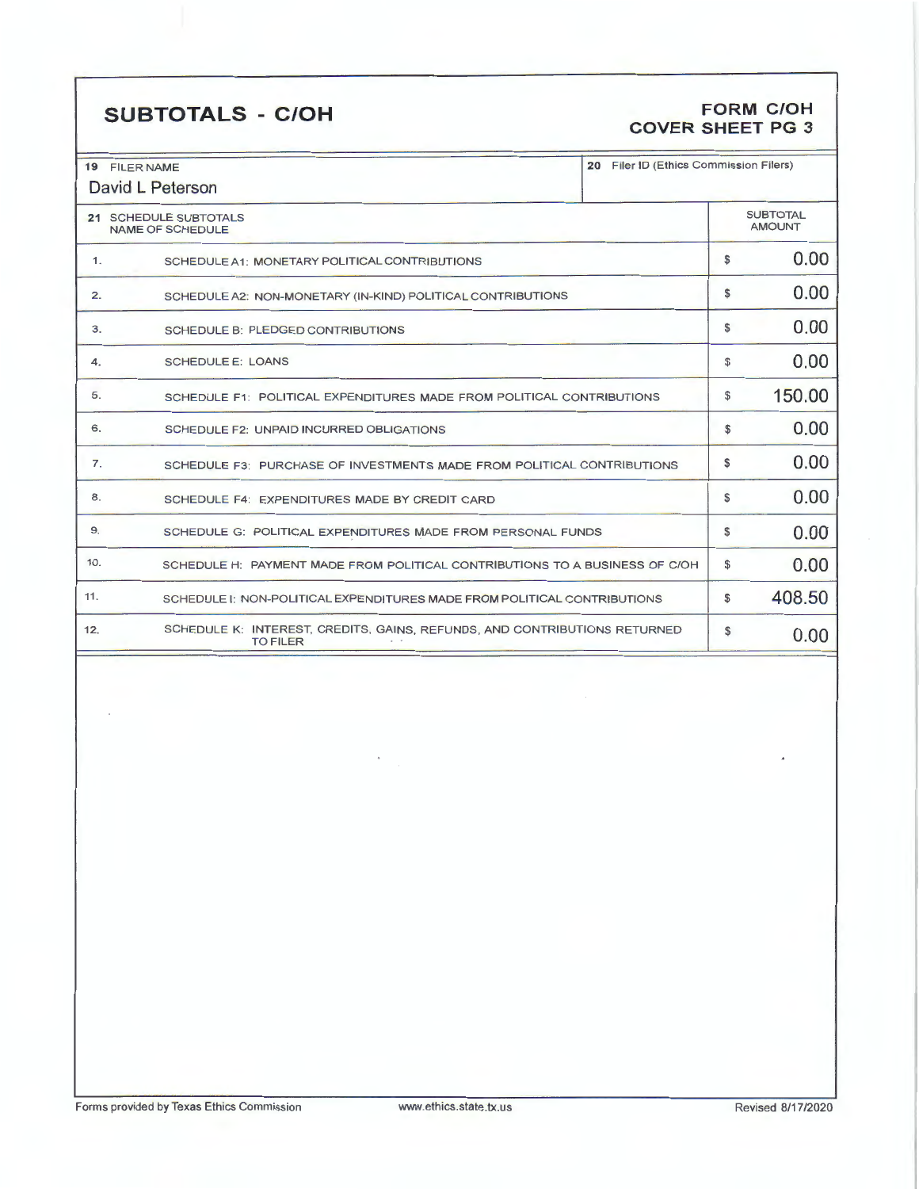# **SUBTOTALS** - **C/OH FORM C/OH**

# **COVER SHEET PG 3**

| 20 Filer ID (Ethics Commission Filers)<br>19 FILER NAME<br>David L Peterson     |                                                                                              |  |                                  |        |
|---------------------------------------------------------------------------------|----------------------------------------------------------------------------------------------|--|----------------------------------|--------|
| 21 SCHEDULE SUBTOTALS<br><b>NAME OF SCHEDULE</b>                                |                                                                                              |  | <b>SUBTOTAL</b><br><b>AMOUNT</b> |        |
| 1.                                                                              | SCHEDULE A1: MONETARY POLITICAL CONTRIBUTIONS                                                |  | \$                               | 0.00   |
| 2.                                                                              | SCHEDULE A2: NON-MONETARY (IN-KIND) POLITICAL CONTRIBUTIONS                                  |  |                                  | 0.00   |
| 3.                                                                              | <b>SCHEDULE B: PLEDGED CONTRIBUTIONS</b>                                                     |  |                                  | 0.00   |
| 4.                                                                              | <b>SCHEDULE E: LOANS</b>                                                                     |  |                                  | 0.00   |
| 5.                                                                              | SCHEDULE F1: POLITICAL EXPENDITURES MADE FROM POLITICAL CONTRIBUTIONS                        |  |                                  | 150.00 |
| 6.                                                                              | SCHEDULE F2: UNPAID INCURRED OBLIGATIONS                                                     |  |                                  | 0.00   |
| 7.                                                                              | SCHEDULE F3: PURCHASE OF INVESTMENTS MADE FROM POLITICAL CONTRIBUTIONS                       |  |                                  | 0.00   |
| 8.<br>SCHEDULE F4: EXPENDITURES MADE BY CREDIT CARD                             |                                                                                              |  | S.                               | 0.00   |
| 9.                                                                              | SCHEDULE G: POLITICAL EXPENDITURES MADE FROM PERSONAL FUNDS                                  |  |                                  | 0.00   |
| 10.                                                                             | SCHEDULE H: PAYMENT MADE FROM POLITICAL CONTRIBUTIONS TO A BUSINESS OF C/OH                  |  |                                  | 0.00   |
| 11.<br>SCHEDULE I: NON-POLITICAL EXPENDITURES MADE FROM POLITICAL CONTRIBUTIONS |                                                                                              |  | \$                               | 408.50 |
| 12.                                                                             | SCHEDULE K: INTEREST, CREDITS, GAINS, REFUNDS, AND CONTRIBUTIONS RETURNED<br><b>TO FILER</b> |  | S                                | 0.00   |

.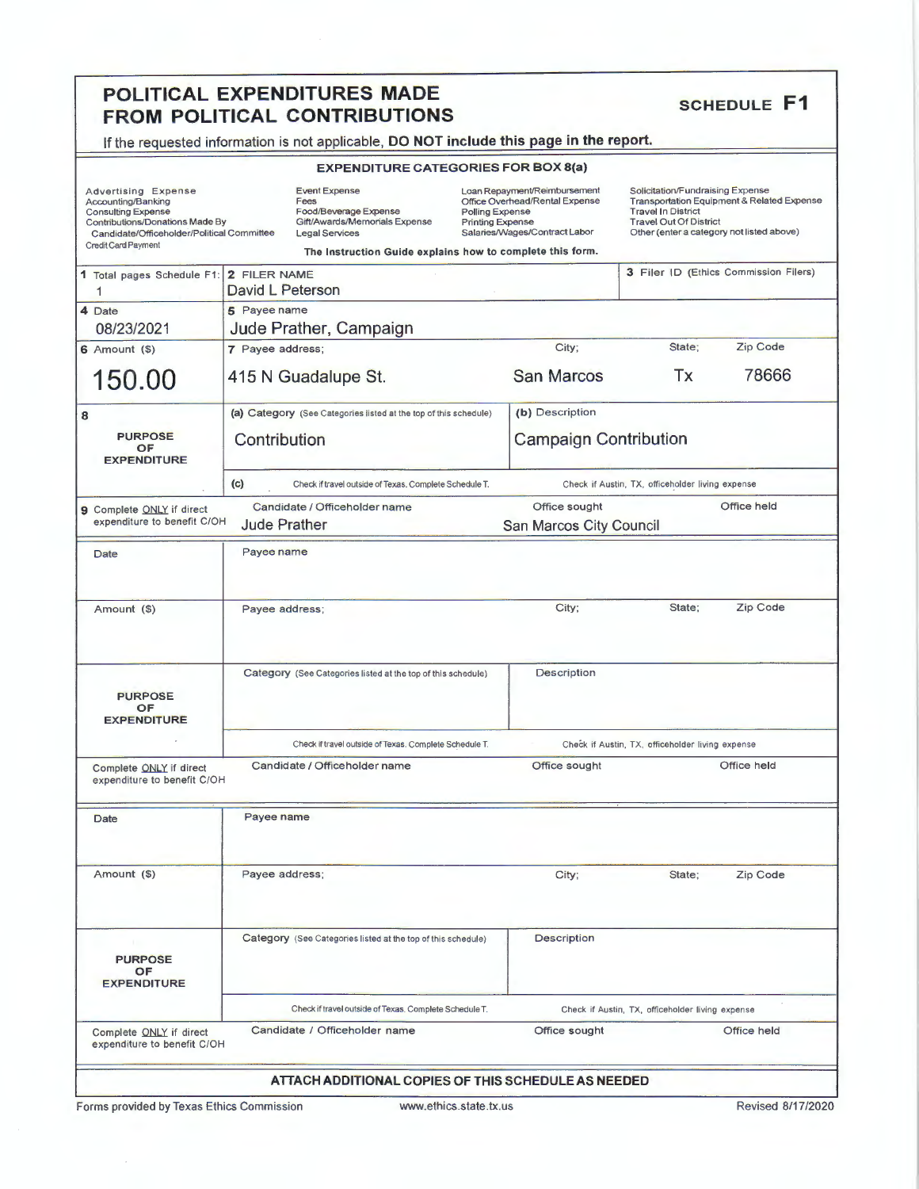## **POLITICAL EXPENDITURES MADE** SCHEDULE **F1 FROM POLITICAL CONTRIBUTIONS**

If the requested information is not applicable, **DO NOT include this page in the report.** 

|                                                                                                                                                                                       | <b>EXPENDITURE CATEGORIES FOR BOX 8(a)</b>                                                                      |                                                                                                                                               |                                                  |                                                                                                                                                                                           |  |  |  |
|---------------------------------------------------------------------------------------------------------------------------------------------------------------------------------------|-----------------------------------------------------------------------------------------------------------------|-----------------------------------------------------------------------------------------------------------------------------------------------|--------------------------------------------------|-------------------------------------------------------------------------------------------------------------------------------------------------------------------------------------------|--|--|--|
| <b>Advertising Expense</b><br>Accounting/Banking<br><b>Consulting Expense</b><br>Contributions/Donations Made By<br>Candidate/Officeholder/Political Committee<br>Credit Card Payment | <b>Event Expense</b><br>Fees<br>Food/Beverage Expense<br>Gift/Awards/Memorials Expense<br><b>Legal Services</b> | Loan Repayment/Reimbursement<br>Office Overhead/Rental Expense<br>Polling Expense<br><b>Printing Expense</b><br>Salaries/Wages/Contract Labor |                                                  | Solicitation/Fundraising Expense<br>Transportation Equipment & Related Expense<br><b>Travel In District</b><br><b>Travel Out Of District</b><br>Other (enter a category not listed above) |  |  |  |
|                                                                                                                                                                                       | The Instruction Guide explains how to complete this form.                                                       |                                                                                                                                               |                                                  |                                                                                                                                                                                           |  |  |  |
| 1 Total pages Schedule F1:<br>1                                                                                                                                                       | 2 FILER NAME<br>David L Peterson                                                                                |                                                                                                                                               |                                                  | 3 Filer ID (Ethics Commission Filers)                                                                                                                                                     |  |  |  |
| 4 Date                                                                                                                                                                                | 5 Payee name                                                                                                    |                                                                                                                                               |                                                  |                                                                                                                                                                                           |  |  |  |
| 08/23/2021                                                                                                                                                                            | Jude Prather, Campaign                                                                                          |                                                                                                                                               |                                                  |                                                                                                                                                                                           |  |  |  |
| $6$ Amount $(3)$<br>150.00                                                                                                                                                            | 7 Payee address;<br>415 N Guadalupe St.                                                                         | City;<br><b>San Marcos</b>                                                                                                                    | State;<br><b>Tx</b>                              | Zip Code<br>78666                                                                                                                                                                         |  |  |  |
| 8                                                                                                                                                                                     | (a) Category (See Categories listed at the top of this schedule)                                                | (b) Description                                                                                                                               |                                                  |                                                                                                                                                                                           |  |  |  |
| <b>PURPOSE</b><br>OF<br><b>EXPENDITURE</b>                                                                                                                                            | Contribution                                                                                                    |                                                                                                                                               | <b>Campaign Contribution</b>                     |                                                                                                                                                                                           |  |  |  |
|                                                                                                                                                                                       | (c)<br>Check if travel outside of Texas. Complete Schedule T.                                                   | Check if Austin, TX, officeholder living expense                                                                                              |                                                  |                                                                                                                                                                                           |  |  |  |
| 9 Complete ONLY if direct<br>expenditure to benefit C/OH                                                                                                                              | Candidate / Officeholder name<br><b>Jude Prather</b>                                                            | Office sought                                                                                                                                 | Office held<br>San Marcos City Council           |                                                                                                                                                                                           |  |  |  |
| Date                                                                                                                                                                                  | Payee name                                                                                                      |                                                                                                                                               |                                                  |                                                                                                                                                                                           |  |  |  |
| Amount (\$)                                                                                                                                                                           | Payee address;                                                                                                  | City;                                                                                                                                         | State;                                           | Zip Code                                                                                                                                                                                  |  |  |  |
| <b>PURPOSE</b><br><b>OF</b><br><b>EXPENDITURE</b>                                                                                                                                     | Category (See Categories listed at the top of this schedule)                                                    | Description                                                                                                                                   |                                                  |                                                                                                                                                                                           |  |  |  |
|                                                                                                                                                                                       | Check if travel outside of Texas. Complete Schedule T.                                                          |                                                                                                                                               | Check if Austin, TX, officeholder living expense |                                                                                                                                                                                           |  |  |  |
| Complete ONLY if direct<br>expenditure to benefit C/OH                                                                                                                                | Candidate / Officeholder name                                                                                   | Office sought                                                                                                                                 |                                                  | Office held                                                                                                                                                                               |  |  |  |
| Date                                                                                                                                                                                  | Payee name                                                                                                      |                                                                                                                                               |                                                  |                                                                                                                                                                                           |  |  |  |
| Amount (\$)                                                                                                                                                                           | Payee address;                                                                                                  | City;                                                                                                                                         | State;                                           | Zip Code                                                                                                                                                                                  |  |  |  |
| <b>PURPOSE</b><br>OF<br><b>EXPENDITURE</b>                                                                                                                                            | Category (See Categories listed at the top of this schedule)                                                    | <b>Description</b>                                                                                                                            |                                                  |                                                                                                                                                                                           |  |  |  |
|                                                                                                                                                                                       | Check if travel outside of Texas. Complete Schedule T.                                                          | Check if Austin, TX, officeholder living expense                                                                                              |                                                  |                                                                                                                                                                                           |  |  |  |
| Complete ONLY if direct<br>expenditure to benefit C/OH                                                                                                                                | Candidate / Officeholder name                                                                                   | Office sought                                                                                                                                 |                                                  | Office held                                                                                                                                                                               |  |  |  |
|                                                                                                                                                                                       | ATTACH ADDITIONAL COPIES OF THIS SCHEDULE AS NEEDED                                                             |                                                                                                                                               |                                                  |                                                                                                                                                                                           |  |  |  |

Forms provided by Texas Ethics Commission www.ethics.state.tx.us Revised 8/17/2020